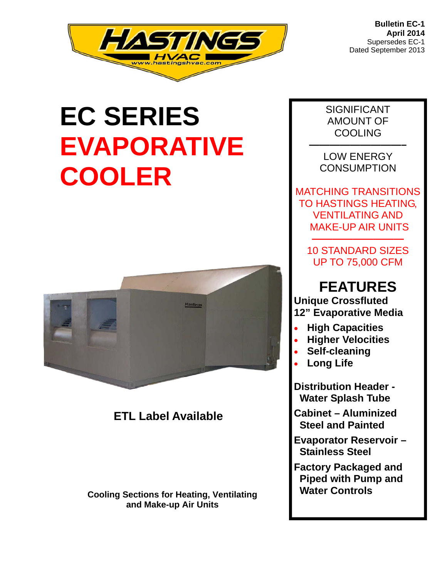

# **EC SERIES EVAPORATIVE COOLER**



## **ETL Label Available**

 **Water Controls Cooling Sections for Heating, Ventilating and Make-up Air Units** 

SIGNIFICANT AMOUNT OF **COOLING** 

**—————————–**  LOW ENERGY **CONSUMPTION** 

MATCHING TRANSITIONS TO HASTINGS HEATING, VENTILATING AND MAKE-UP AIR UNITS

10 STANDARD SIZES UP TO 75,000 CFM

**—————————** 

## **FEATURES**

**Unique Crossfluted 12" Evaporative Media** 

- **High Capacities**
- **Higher Velocities**
- **Self-cleaning**
- **Long Life**

**Distribution Header - Water Splash Tube** 

**Cabinet – Aluminized Steel and Painted** 

**Evaporator Reservoir – Stainless Steel** 

**Factory Packaged and Piped with Pump and**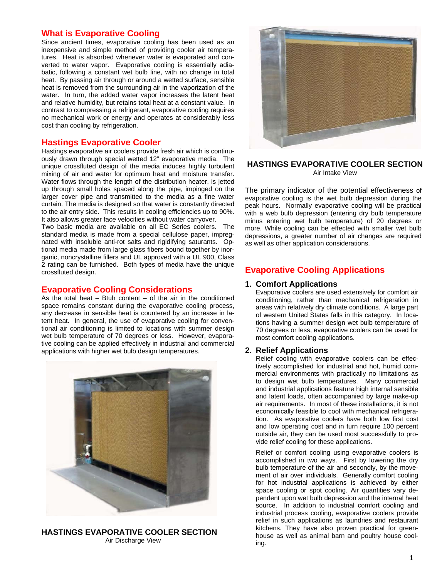#### **What is Evaporative Cooling**

Since ancient times, evaporative cooling has been used as an inexpensive and simple method of providing cooler air temperatures. Heat is absorbed whenever water is evaporated and converted to water vapor. Evaporative cooling is essentially adiabatic, following a constant wet bulb line, with no change in total heat. By passing air through or around a wetted surface, sensible heat is removed from the surrounding air in the vaporization of the water. In turn, the added water vapor increases the latent heat and relative humidity, but retains total heat at a constant value. In contrast to compressing a refrigerant, evaporative cooling requires no mechanical work or energy and operates at considerably less cost than cooling by refrigeration.

#### **Hastings Evaporative Cooler**

Hastings evaporative air coolers provide fresh air which is continuously drawn through special wetted 12" evaporative media. The unique crossfluted design of the media induces highly turbulent mixing of air and water for optimum heat and moisture transfer. Water flows through the length of the distribution heater, is jetted up through small holes spaced along the pipe, impinged on the larger cover pipe and transmitted to the media as a fine water curtain. The media is designed so that water is constantly directed to the air entry side. This results in cooling efficiencies up to 90%. It also allows greater face velocities without water carryover.

Two basic media are available on all EC Series coolers. The standard media is made from a special cellulose paper, impregnated with insoluble anti-rot salts and rigidifying saturants. Optional media made from large glass fibers bound together by inorganic, noncrystalline fillers and UL approved with a UL 900, Class 2 rating can be furnished. Both types of media have the unique crossfluted design.

#### **Evaporative Cooling Considerations**

As the total heat  $-$  Btuh content  $-$  of the air in the conditioned space remains constant during the evaporative cooling process, any decrease in sensible heat is countered by an increase in latent heat. In general, the use of evaporative cooling for conventional air conditioning is limited to locations with summer design wet bulb temperature of 70 degrees or less. However, evaporative cooling can be applied effectively in industrial and commercial applications with higher wet bulb design temperatures.



**HASTINGS EVAPORATIVE COOLER SECTION**  Air Discharge View



#### **HASTINGS EVAPORATIVE COOLER SECTION**  Air Intake View

The primary indicator of the potential effectiveness of evaporative cooling is the wet bulb depression during the peak hours. Normally evaporative cooling will be practical with a web bulb depression (entering dry bulb temperature minus entering wet bulb temperature) of 20 degrees or more. While cooling can be effected with smaller wet bulb depressions, a greater number of air changes are required as well as other application considerations.

#### **Evaporative Cooling Applications**

#### **1. Comfort Applications**

Evaporative coolers are used extensively for comfort air conditioning, rather than mechanical refrigeration in areas with relatively dry climate conditions. A large part of western United States falls in this category. In locations having a summer design wet bulb temperature of 70 degrees or less, evaporative coolers can be used for most comfort cooling applications.

#### **2. Relief Applications**

Relief cooling with evaporative coolers can be effectively accomplished for industrial and hot, humid commercial environments with practically no limitations as to design wet bulb temperatures. Many commercial and industrial applications feature high internal sensible and latent loads, often accompanied by large make-up air requirements. In most of these installations, it is not economically feasible to cool with mechanical refrigeration. As evaporative coolers have both low first cost and low operating cost and in turn require 100 percent outside air, they can be used most successfully to provide relief cooling for these applications.

Relief or comfort cooling using evaporative coolers is accomplished in two ways. First by lowering the dry bulb temperature of the air and secondly, by the movement of air over individuals. Generally comfort cooling for hot industrial applications is achieved by either space cooling or spot cooling. Air quantities vary dependent upon wet bulb depression and the internal heat source. In addition to industrial comfort cooling and industrial process cooling, evaporative coolers provide relief in such applications as laundries and restaurant kitchens. They have also proven practical for greenhouse as well as animal barn and poultry house cooling.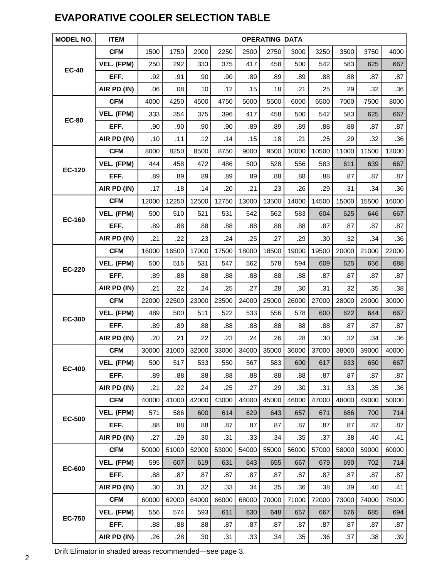## **EVAPORATIVE COOLER SELECTION TABLE**

| <b>MODEL NO.</b> | <b>ITEM</b> | <b>OPERATING DATA</b> |       |       |       |       |       |       |       |       |       |       |
|------------------|-------------|-----------------------|-------|-------|-------|-------|-------|-------|-------|-------|-------|-------|
| <b>EC-40</b>     | <b>CFM</b>  | 1500                  | 1750  | 2000  | 2250  | 2500  | 2750  | 3000  | 3250  | 3500  | 3750  | 4000  |
|                  | VEL. (FPM)  | 250                   | 292   | 333   | 375   | 417   | 458   | 500   | 542   | 583   | 625   | 667   |
|                  | EFF.        | .92                   | .91   | .90   | .90   | .89   | .89   | .89   | .88   | .88   | .87   | .87   |
|                  | AIR PD (IN) | .06                   | .08   | .10   | .12   | .15   | .18   | .21   | .25   | .29   | .32   | .36   |
|                  | <b>CFM</b>  | 4000                  | 4250  | 4500  | 4750  | 5000  | 5500  | 6000  | 6500  | 7000  | 7500  | 8000  |
| <b>EC-80</b>     | VEL. (FPM)  | 333                   | 354   | 375   | 396   | 417   | 458   | 500   | 542   | 583   | 625   | 667   |
|                  | EFF.        | .90                   | .90   | .90   | .90   | .89   | .89   | .89   | .88   | .88   | .87   | .87   |
|                  | AIR PD (IN) | .10                   | .11   | .12   | .14   | .15   | .18   | .21   | .25   | .29   | .32   | .36   |
|                  | <b>CFM</b>  | 8000                  | 8250  | 8500  | 8750  | 9000  | 9500  | 10000 | 10500 | 11000 | 11500 | 12000 |
| <b>EC-120</b>    | VEL. (FPM)  | 444                   | 458   | 472   | 486   | 500   | 528   | 556   | 583   | 611   | 639   | 667   |
|                  | EFF.        | .89                   | .89   | .89   | .89   | .89   | .88   | .88   | .88   | .87   | .87   | .87   |
|                  | AIR PD (IN) | .17                   | .18   | .14   | .20   | .21   | .23   | .26   | .29   | .31   | .34   | .36   |
|                  | <b>CFM</b>  | 12000                 | 12250 | 12500 | 12750 | 13000 | 13500 | 14000 | 14500 | 15000 | 15500 | 16000 |
| <b>EC-160</b>    | VEL. (FPM)  | 500                   | 510   | 521   | 531   | 542   | 562   | 583   | 604   | 625   | 646   | 667   |
|                  | EFF.        | .89                   | .88   | .88   | .88   | .88   | .88   | .88   | .87   | .87   | .87   | .87   |
|                  | AIR PD (IN) | .21                   | .22   | .23   | .24   | .25   | .27   | .29   | .30   | .32   | .34   | .36   |
| <b>EC-220</b>    | <b>CFM</b>  | 16000                 | 16500 | 17000 | 17500 | 18000 | 18500 | 19000 | 19500 | 20000 | 21000 | 22000 |
|                  | VEL. (FPM)  | 500                   | 516   | 531   | 547   | 562   | 578   | 594   | 609   | 625   | 656   | 688   |
|                  | EFF.        | .89                   | .88   | .88   | .88   | .88   | .88   | .88   | .87   | .87   | .87   | .87   |
|                  | AIR PD (IN) | .21                   | .22   | .24   | .25   | .27   | .28   | .30   | .31   | .32   | .35   | .38   |
|                  | <b>CFM</b>  | 22000                 | 22500 | 23000 | 23500 | 24000 | 25000 | 26000 | 27000 | 28000 | 29000 | 30000 |
| <b>EC-300</b>    | VEL. (FPM)  | 489                   | 500   | 511   | 522   | 533   | 556   | 578   | 600   | 622   | 644   | 667   |
|                  | EFF.        | .89                   | .89   | .88   | .88   | .88   | .88   | 88    | .88   | .87   | .87   | .87   |
|                  | AIR PD (IN) | .20                   | .21   | .22   | .23   | .24   | .26   | .28   | .30   | .32   | .34   | .36   |
|                  | <b>CFM</b>  | 30000                 | 31000 | 32000 | 33000 | 34000 | 35000 | 36000 | 37000 | 38000 | 39000 | 40000 |
| <b>EC-400</b>    | VEL. (FPM)  | 500                   | 517   | 533   | 550   | 567   | 583   | 600   | 617   | 633   | 650   | 667   |
|                  | EFF.        | .89                   | .88   | .88   | .88   | .88   | .88   | .88   | .87   | .87   | .87   | .87   |
|                  | AIR PD (IN) | .21                   | .22   | .24   | .25   | .27   | .29   | .30   | .31   | .33   | .35   | .36   |
|                  | <b>CFM</b>  | 40000                 | 41000 | 42000 | 43000 | 44000 | 45000 | 46000 | 47000 | 48000 | 49000 | 50000 |
| <b>EC-500</b>    | VEL. (FPM)  | 571                   | 586   | 600   | 614   | 629   | 643   | 657   | 671   | 686   | 700   | 714   |
|                  | EFF.        | .88                   | .88   | .88   | .87   | .87   | .87   | .87   | .87   | .87   | .87   | .87   |
|                  | AIR PD (IN) | .27                   | .29   | .30   | .31   | .33   | .34   | .35   | .37   | .38   | .40   | .41   |
|                  | <b>CFM</b>  | 50000                 | 51000 | 52000 | 53000 | 54000 | 55000 | 56000 | 57000 | 58000 | 59000 | 60000 |
| <b>EC-600</b>    | VEL. (FPM)  | 595                   | 607   | 619   | 631   | 643   | 655   | 667   | 679   | 690   | 702   | 714   |
|                  | EFF.        | .88                   | .87   | .87   | .87   | .87   | .87   | .87   | .87   | .87   | .87   | .87   |
|                  | AIR PD (IN) | .30                   | .31   | .32   | .33   | .34   | .35   | .36   | .38   | .39   | .40   | .41   |
|                  | <b>CFM</b>  | 60000                 | 62000 | 64000 | 66000 | 68000 | 70000 | 71000 | 72000 | 73000 | 74000 | 75000 |
| <b>EC-750</b>    | VEL. (FPM)  | 556                   | 574   | 593   | 611   | 630   | 648   | 657   | 667   | 676   | 685   | 694   |
|                  | EFF.        | .88                   | .88   | .88   | .87   | .87   | .87   | .87   | .87   | .87   | .87   | .87   |
|                  | AIR PD (IN) | .26                   | .28   | .30   | .31   | .33   | .34   | .35   | .36   | .37   | .38   | .39   |

2 Drift Elimator in shaded areas recommended—see page 3.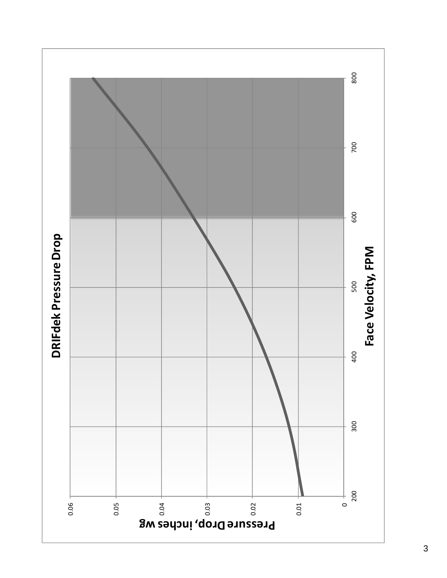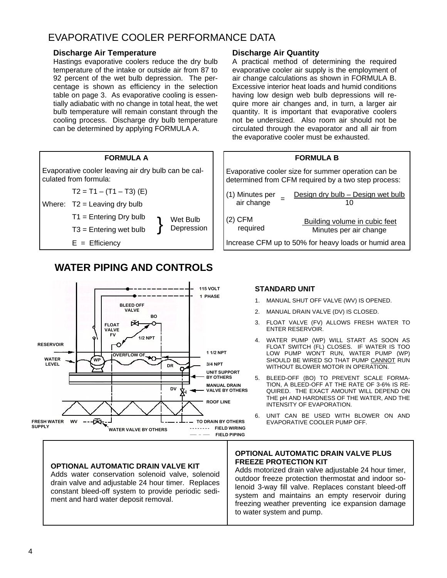## EVAPORATIVE COOLER PERFORMANCE DATA

#### **Discharge Air Temperature**

Hastings evaporative coolers reduce the dry bulb temperature of the intake or outside air from 87 to 92 percent of the wet bulb depression. The percentage is shown as efficiency in the selection table on page 3. As evaporative cooling is essentially adiabatic with no change in total heat, the wet bulb temperature will remain constant through the cooling process. Discharge dry bulb temperature can be determined by applying FORMULA A.



## **WATER PIPING AND CONTROLS**



#### **OPTIONAL AUTOMATIC DRAIN VALVE KIT**

Adds water conservation solenoid valve, solenoid drain valve and adjustable 24 hour timer. Replaces constant bleed-off system to provide periodic sediment and hard water deposit removal.

#### **Discharge Air Quantity**

A practical method of determining the required evaporative cooler air supply is the employment of air change calculations as shown in FORMULA B. Excessive interior heat loads and humid conditions having low design web bulb depressions will require more air changes and, in turn, a larger air quantity. It is important that evaporative coolers not be undersized. Also room air should not be circulated through the evaporator and all air from the evaporative cooler must be exhausted.

#### **FORMULA B**

Evaporative cooler size for summer operation can be determined from CFM required by a two step process:

| (1) Minutes per | Design dry bulb - Design wet bulb                    |
|-----------------|------------------------------------------------------|
| air change      | 10                                                   |
| $(2)$ CFM       | Building volume in cubic feet                        |
| required        | Minutes per air change                               |
|                 | Increase CFM up to 50% for heavy loads or humid area |

#### **STANDARD UNIT**

- 1. MANUAL SHUT OFF VALVE (WV) IS OPENED.
- 2. MANUAL DRAIN VALVE (DV) IS CLOSED.
- 3. FLOAT VALVE (FV) ALLOWS FRESH WATER TO ENTER RESERVOIR.
- 4. WATER PUMP (WP) WILL START AS SOON AS FLOAT SWITCH (FL) CLOSES. IF WATER IS TOO LOW PUMP WON'T RUN, WATER PUMP (WP) SHOULD BE WIRED SO THAT PUMP CANNOT RUN WITHOUT BLOWER MOTOR IN OPERATION.
- 5. BLEED-OFF (BO) TO PREVENT SCALE FORMA-TION, A BLEED-OFF AT THE RATE OF 3-6% IS RE-QUIRED. THE EXACT AMOUNT WILL DEPEND ON THE pH AND HARDNESS OF THE WATER, AND THE INTENSITY OF EVAPORATION.
- 6. UNIT CAN BE USED WITH BLOWER ON AND EVAPORATIVE COOLER PUMP OFF.

#### **OPTIONAL AUTOMATIC DRAIN VALVE PLUS FREEZE PROTECTION KIT**

Adds motorized drain valve adjustable 24 hour timer, outdoor freeze protection thermostat and indoor solenoid 3-way fill valve. Replaces constant bleed-off system and maintains an empty reservoir during freezing weather preventing ice expansion damage to water system and pump.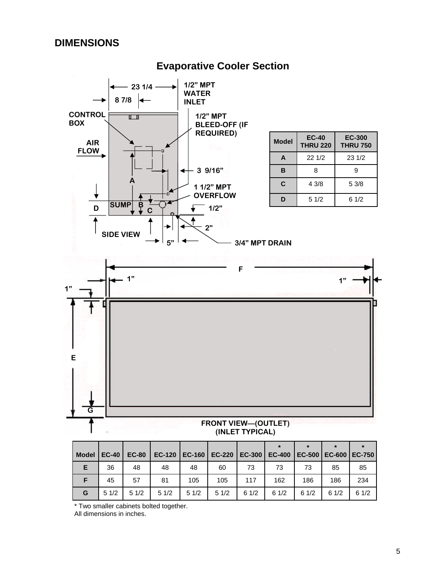## **DIMENSIONS**

#### **23 1/4 - 1/2" MPT WATER 8 7/8 INLET CONTROL 1/2" MPT**  日目 **BOX BLEED-OFF (IF REQUIRED) Model EC-40 EC-300 AIR THRU 220 THRU 750 FLOW A** 22 1/2 23 1/2 **3 9/16" B** | 8 | 9 **A C** 4 3/8 5 3/8 **1 1/2" MPT OVERFLOW D** 5 1/2 6 1/2 **SUMP B D 1/2" C 2"**  ▸ **SIDE VIEW 5" 3/4" MPT DRAIN F 1" 1" 1" E G FRONT VIEW—(OUTLET) (INLET TYPICAL)**

**Evaporative Cooler Section** 

|              |              |              |               |      |                          |      |               |        | $\star$ | $\star$         |
|--------------|--------------|--------------|---------------|------|--------------------------|------|---------------|--------|---------|-----------------|
| <b>Model</b> | <b>EC-40</b> | <b>EC-80</b> | <b>EC-120</b> |      | EC-160   EC-220   EC-300 |      | <b>EC-400</b> | EC-500 |         | EC-600   EC-750 |
| Е            | 36           | 48           | 48            | 48   | 60                       | 73   | 73            | 73     | 85      | 85              |
|              | 45           | 57           | 81            | 105  | 105                      | 117  | 162           | 186    | 186     | 234             |
| G            | 51/2         | 51/2         | 51/2          | 51/2 | 51/2                     | 61/2 | 61/2          | 61/2   | 61/2    | 61/2            |

\* Two smaller cabinets bolted together.

All dimensions in inches.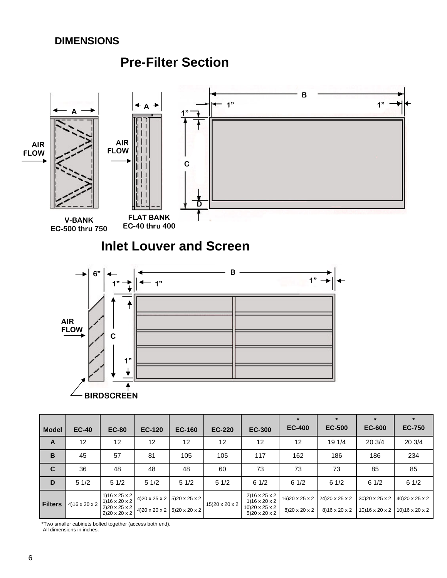### **DIMENSIONS**

## **Pre-Filter Section**



**Filters** 4)16 x 20 x 2 1)16 x 25 x 2 1)16 x 20 x 2  $2)20 \times 25 \times 2$  $2)20 \times 20 \times 2$ 4)20 x 25 x 2 4)20 x 20 x 2 5)20 x 25 x 2 5)20 x 20 x 2 15)20 x 20 x 2 2)16 x 25 x 2  $1)16 \times 20 \times 2$  $10$ ) 20 x 25 x 2  $5)20 \times 20 \times 2$ 16)20 x 25 x 2 8)20 x 20 x 2 24)20 x 25 x 2 8)16 x 20 x 2 30)20 x 25 x 2 10)16 x 20 x 2 40)20 x 25 x 2 10)16 x 20 x 2

\*Two smaller cabinets bolted together (access both end).

All dimensions in inches.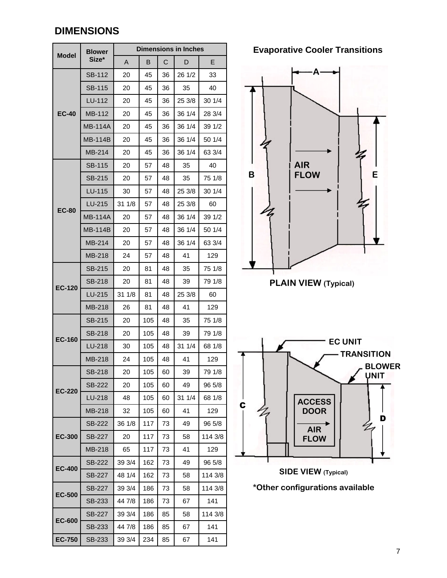## **DIMENSIONS**

| <b>Model</b>  | <b>Blower</b>  | <b>Dimensions in Inches</b> |                |    |        |         |  |  |  |
|---------------|----------------|-----------------------------|----------------|----|--------|---------|--|--|--|
|               | Size*          | A                           | в              | С  | E<br>D |         |  |  |  |
|               | <b>SB-112</b>  | 20                          | 45             | 36 | 26 1/2 | 33      |  |  |  |
|               | <b>SB-115</b>  | 20                          | 45             | 36 | 35     | 40      |  |  |  |
|               | LU-112         | 20                          | 45             | 36 | 25 3/8 | 30 1/4  |  |  |  |
| <b>EC-40</b>  | MB-112         | 20                          | 45             | 36 | 36 1/4 | 28 3/4  |  |  |  |
|               | <b>MB-114A</b> | 20                          | 45             | 36 | 36 1/4 | 39 1/2  |  |  |  |
|               | <b>MB-114B</b> | 20                          | 45             | 36 | 36 1/4 | 50 1/4  |  |  |  |
|               | MB-214         | 20                          | 45             | 36 | 36 1/4 | 63 3/4  |  |  |  |
|               | <b>SB-115</b>  | 20                          | 57             | 48 | 35     | 40      |  |  |  |
|               | <b>SB-215</b>  | 20                          | 35<br>48<br>57 |    |        | 75 1/8  |  |  |  |
|               | LU-115         | 30                          | 57             | 48 | 25 3/8 | 30 1/4  |  |  |  |
|               | LU-215         | 31 1/8                      | 57             | 48 | 25 3/8 | 60      |  |  |  |
| <b>EC-80</b>  | <b>MB-114A</b> | 20                          | 57             | 48 | 36 1/4 | 39 1/2  |  |  |  |
|               | MB-114B        | 20                          | 57             | 48 | 36 1/4 | 50 1/4  |  |  |  |
|               | MB-214         | 20                          | 57             | 48 | 36 1/4 | 63 3/4  |  |  |  |
|               | MB-218         | 24                          | 57             | 48 | 41     | 129     |  |  |  |
|               | SB-215         | 20                          | 81             | 48 | 35     | 75 1/8  |  |  |  |
| <b>EC-120</b> | <b>SB-218</b>  | 20                          | 81<br>48       |    | 39     | 79 1/8  |  |  |  |
|               | LU-215         | 31 1/8                      | 81             | 48 | 25 3/8 | 60      |  |  |  |
|               | MB-218         | 26                          | 81             | 48 | 41     | 129     |  |  |  |
| <b>EC-160</b> | <b>SB-215</b>  | 20                          | 105            | 48 | 35     | 75 1/8  |  |  |  |
|               | <b>SB-218</b>  | 20                          | 105            | 48 | 39     | 79 1/8  |  |  |  |
|               | LU-218         | 30                          | 105            | 48 | 31 1/4 | 68 1/8  |  |  |  |
|               | MB-218         | 24                          | 105            | 48 | 41     | 129     |  |  |  |
|               | SB-218         | 20                          | 105            | 60 | 39     | 79 1/8  |  |  |  |
| <b>EC-220</b> | <b>SB-222</b>  | 20                          | 105            | 60 | 49     | 96 5/8  |  |  |  |
|               | LU-218         | 48                          | 105            | 60 | 31 1/4 | 68 1/8  |  |  |  |
|               | MB-218         | 32                          | 105            | 60 | 41     | 129     |  |  |  |
|               | SB-222         | 36 1/8                      | 117            | 73 | 49     | 96 5/8  |  |  |  |
| <b>EC-300</b> | <b>SB-227</b>  | 20                          | 117            | 73 | 58     | 114 3/8 |  |  |  |
|               | <b>MB-218</b>  | 65                          | 117            | 73 | 41     | 129     |  |  |  |
| <b>EC-400</b> | <b>SB-222</b>  | 39 3/4                      | 162            | 73 | 49     | 96 5/8  |  |  |  |
|               | <b>SB-227</b>  | 48 1/4                      | 162            | 73 | 58     | 114 3/8 |  |  |  |
| <b>EC-500</b> | SB-227         | 39 3/4                      | 186            | 73 | 58     | 114 3/8 |  |  |  |
|               | SB-233         | 44 7/8                      | 186            | 73 | 67     | 141     |  |  |  |
|               | SB-227         | 39 3/4                      | 186            | 85 | 58     | 114 3/8 |  |  |  |
| <b>EC-600</b> | SB-233         | 44 7/8                      | 186            | 85 | 67     | 141     |  |  |  |
| <b>EC-750</b> | SB-233         | 39 3/4                      | 234            | 85 | 67     | 141     |  |  |  |

**Evaporative Cooler Transitions** 



**PLAIN VIEW (Typical)** 



**SIDE VIEW (Typical)** 

**\*Other configurations available**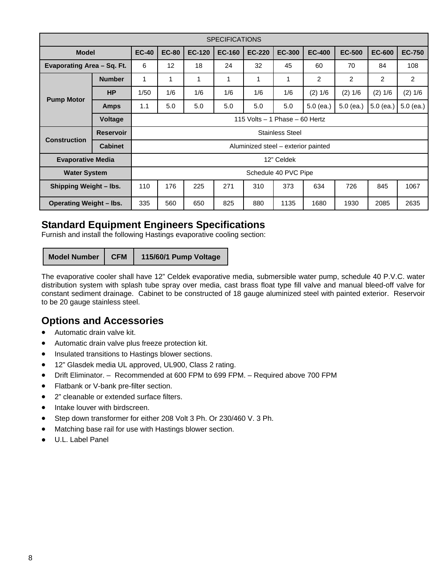| <b>SPECIFICATIONS</b>          |                  |                                     |              |               |               |               |               |                |                |               |               |
|--------------------------------|------------------|-------------------------------------|--------------|---------------|---------------|---------------|---------------|----------------|----------------|---------------|---------------|
| <b>Model</b>                   |                  | <b>EC-40</b>                        | <b>EC-80</b> | <b>EC-120</b> | <b>EC-160</b> | <b>EC-220</b> | <b>EC-300</b> | <b>EC-400</b>  | <b>EC-500</b>  | <b>EC-600</b> | <b>EC-750</b> |
| Evaporating Area - Sq. Ft.     |                  | 6                                   | 12           | 18            | 24            | 32            | 45            | 60             | 70             | 84            | 108           |
|                                | <b>Number</b>    | 1                                   |              | 1             | 1             | 1             | 1             | $\overline{c}$ | $\overline{c}$ | 2             | 2             |
|                                | <b>HP</b>        | 1/50                                | 1/6          | 1/6           | 1/6           | 1/6           | 1/6           | (2) 1/6        | (2) 1/6        | (2) 1/6       | (2) 1/6       |
| <b>Pump Motor</b>              | <b>Amps</b>      | 1.1                                 | 5.0          | 5.0           | 5.0           | 5.0           | 5.0           | $5.0$ (ea.)    | $5.0$ (ea.)    | 5.0 (ea.)     | $5.0$ (ea.)   |
|                                | <b>Voltage</b>   | 115 Volts $-$ 1 Phase $-$ 60 Hertz  |              |               |               |               |               |                |                |               |               |
| <b>Construction</b>            | <b>Reservoir</b> | <b>Stainless Steel</b>              |              |               |               |               |               |                |                |               |               |
|                                | <b>Cabinet</b>   | Aluminized steel - exterior painted |              |               |               |               |               |                |                |               |               |
| <b>Evaporative Media</b>       |                  | 12" Celdek                          |              |               |               |               |               |                |                |               |               |
| <b>Water System</b>            |                  | Schedule 40 PVC Pipe                |              |               |               |               |               |                |                |               |               |
| Shipping Weight - lbs.         |                  | 110                                 | 176          | 225           | 271           | 310           | 373           | 634            | 726            | 845           | 1067          |
| <b>Operating Weight - lbs.</b> |                  | 335                                 | 560          | 650           | 825           | 880           | 1135          | 1680           | 1930           | 2085          | 2635          |

## **Standard Equipment Engineers Specifications**

Furnish and install the following Hastings evaporative cooling section:

**Model Number CFM 115/60/1 Pump Voltage** 

The evaporative cooler shall have 12" Celdek evaporative media, submersible water pump, schedule 40 P.V.C. water distribution system with splash tube spray over media, cast brass float type fill valve and manual bleed-off valve for constant sediment drainage. Cabinet to be constructed of 18 gauge aluminized steel with painted exterior. Reservoir to be 20 gauge stainless steel.

## **Options and Accessories**

- Automatic drain valve kit.
- Automatic drain valve plus freeze protection kit.
- Insulated transitions to Hastings blower sections.
- 12" Glasdek media UL approved, UL900, Class 2 rating.
- Drift Eliminator. Recommended at 600 FPM to 699 FPM. Required above 700 FPM
- Flatbank or V-bank pre-filter section.
- 2" cleanable or extended surface filters.
- Intake louver with birdscreen.
- Step down transformer for either 208 Volt 3 Ph. Or 230/460 V. 3 Ph.
- Matching base rail for use with Hastings blower section.
- U.L. Label Panel